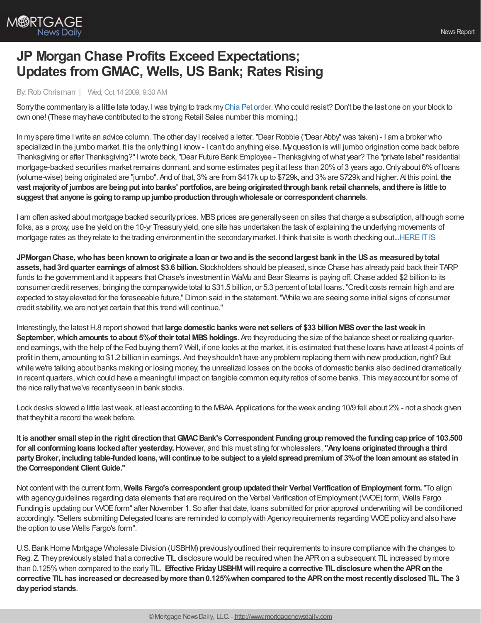

## **JP Morgan Chase Profits Exceed Expectations; Updates from GMAC, Wells, US Bank; Rates Rising**

By:Rob Chrisman | Wed, Oct 14 2009, 9:30 AM

Sorrythe commentaryis a little late today. Iwas trying to track myChia Pet [order](http://www.chiaobama.com). Who could resist? Don't be the last one on your block to own one! (These mayhave contributed to the strong Retail Sales number this morning.)

In myspare time Iwrite an advice column. The other dayI received a letter."Dear Robbie ("Dear Abby"was taken) - I am a broker who specialized in the jumbo market. It is the onlything I know- I can't do anything else. Myquestion is will jumbo origination come back before Thanksgiving or after Thanksgiving?"Iwrote back,"Dear Future Bank Employee - Thanksgiving ofwhat year? The "private label"residential mortgage-backed securities market remains dormant, and some estimates peg it at less than 20%of 3 years ago.Onlyabout 6%of loans (volume-wise) being originated are "jumbo". And of that, 3%are from \$417k up to \$729k, and 3%are \$729k and higher. At this point, **the** vast majority of jumbos are being put into banks' portfolios, are being originated through bank retail channels, and there is little to **suggest that anyone is goingtorampupjumboproductionthroughwholesale or correspondent channels**.

I am often asked about mortgage backed security prices. MBS prices are generally seen on sites that charge a subscription, although some folks, as a proxy, use the yield on the 10-yr Treasuryyield, one site has undertaken the task of explaining the underlying movements of mortgage rates as they relate to the trading environment in the secondary market. I think that site is worth checking out...HERE IT IS

**JPMorganChase,whohas beenknowntooriginate a loanor twoandis the secondlargest bank inthe USas measuredbytotal assets, had3rdquarter earnings of almost \$3.6 billion.** Stockholders should be pleased, since Chase has alreadypaid back their TARP funds to the government and it appears that Chase's investment in WaMu and Bear Stearns is paying off. Chase added \$2 billion to its consumer credit reserves, bringing the companywide total to \$31.5 billion, or 5.3 percent of total loans."Credit costs remain high and are expected to stay elevated for the foreseeable future," Dimon said in the statement. "While we are seeing some initial signs of consumer credit stability, we are not yet certain that this trend will continue."

Interestingly, the latestH.8 report showed that **large domestic bankswere net sellers of \$33 billionMBSover the lastweek in September, which amounts to about 5% of their total MBS holdings. Are they reducing the size of the balance sheet or realizing quarter**end earnings,with the help of the Fed buying them? Well, if one looks at the market, it is estimated that these loans have at least 4 points of profit in them, amounting to \$1.2 billion in earnings. And theyshouldn't have anyproblem replacing them with newproduction, right? But while we're talking about banks making or losing money, the unrealized losses on the books of domestic banks also declined dramatically in recent quarters, which could have a meaningful impact on tangible common equity ratios of some banks. This may account for some of the nice rally that we've recently seen in bank stocks.

Lock desks slowed a little last week, at least according to the MBAA. Applications for the week ending 10/9 fell about 2% - not a shock given that theyhit a record the week before.

I**t is another small stepinthe right directionthatGMACBank's Correspondent Fundinggroupremovedthe fundingcapprice of 103.500 for all conformingloans lockedafter yesterday.**However, and this must sting for wholesalers, **"Anyloans originatedthrougha third partyBroker, includingtable-fundedloans,will continue tobe subject toa yieldspreadpremiumof 3%of the loanamount as statedin the Correspondent ClientGuide."**

Not contentwith the current form, **Wells Fargo's correspondent groupupdatedtheir Verbal Verificationof Employment form.**"To align with agency guidelines regarding data elements that are required on the Verbal Verification of Employment (VVOE) form, Wells Fargo Funding is updating our VVOEform" after November 1. So after that date, loans submitted for prior approval underwriting will be conditioned accordingly. "Sellers submitting Delegated loans are reminded to comply with Agency requirements regarding VVOE policy and also have the option to use Wells Fargo's form".

U.S. BankHome Mortgage Wholesale Division (USBHM) previouslyoutlined their requirements to insure compliance with the changes to Reg. Z. They previously stated that a corrective TIL disclosure would be required when the APR on a subsequent TIL increased by more than 0.125%when compared to the earlyTIL. **Effective FridayUSBHMwillrequire a corrective TILdisclosurewhenthe APRonthe corrective TILhas increasedor decreasedbymore than0.125%whencomparedtothe APRonthe mostrecentlydisclosedTIL. The 3** day period stands.